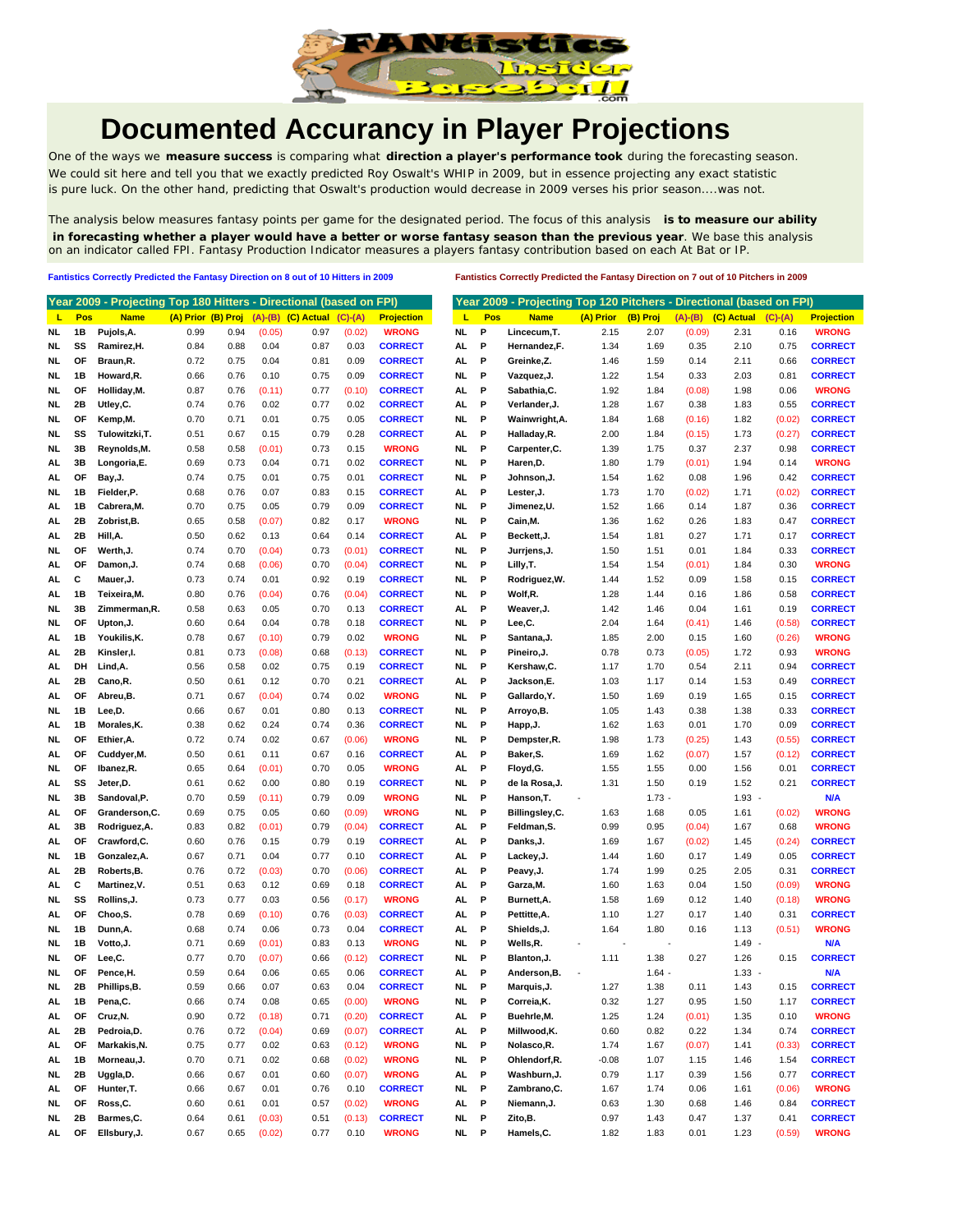

## **Documented Accurancy in Player Projections**

One of the ways we **measure success** is comparing what **direction a player's performance took** during the forecasting season. We could sit here and tell you that we exactly predicted Roy Oswalt's WHIP in 2009, but in essence projecting any exact statistic is pure luck. On the other hand, predicting that Oswalt's production would decrease in 2009 verses his prior season....was not.

The analysis below measures fantasy points per game for the designated period. The focus of this analysis **is to measure our ability in forecasting whether a player would have a better or worse fantasy season than the previous year**. We base this analysis on an indicator called FPI. Fantasy Production Indicator measures a players fantasy contribution based on each At Bat or IP.

**Fantistics Correctly Predicted the Fantasy Direction on 8 out of 10 Hitters in 2009 Fantistics Correctly Predicted the Fantasy Direction on 7 out of 10 Pitchers in 2009**

|           |     | Year 2009 - Projecting Top 180 Hitters - Directional (based on FPI) |                    |      |        |                            |           |                   |     |            | Year 2009 - Projecting Top 120 Pitchers - Directional (based on FPI) |           |          |           |            |           |                   |
|-----------|-----|---------------------------------------------------------------------|--------------------|------|--------|----------------------------|-----------|-------------------|-----|------------|----------------------------------------------------------------------|-----------|----------|-----------|------------|-----------|-------------------|
| ц         | Pos | <b>Name</b>                                                         | (A) Prior (B) Proj |      |        | $(A)$ - $(B)$ $(C)$ Actual | $(C)-(A)$ | <b>Projection</b> | L   | <b>Pos</b> | <b>Name</b>                                                          | (A) Prior | (B) Proj | $(A)-(B)$ | (C) Actual | $(C)-(A)$ | <b>Projection</b> |
| NL        | 1B  | Pujols, A.                                                          | 0.99               | 0.94 | (0.05) | 0.97                       | (0.02)    | <b>WRONG</b>      | NL. | P          | Lincecum, T.                                                         | 2.15      | 2.07     | (0.09)    | 2.31       | 0.16      | <b>WRONG</b>      |
| NL        | SS  | Ramirez, H.                                                         | 0.84               | 0.88 | 0.04   | 0.87                       | 0.03      | <b>CORRECT</b>    | AL. | P          | Hernandez, F.                                                        | 1.34      | 1.69     | 0.35      | 2.10       | 0.75      | <b>CORRECT</b>    |
| NL        | ΟF  | Braun, R.                                                           | 0.72               | 0.75 | 0.04   | 0.81                       | 0.09      | <b>CORRECT</b>    | AL  | P          | Greinke,Z.                                                           | 1.46      | 1.59     | 0.14      | 2.11       | 0.66      | <b>CORRECT</b>    |
| NL.       | 1В  | Howard, R.                                                          | 0.66               | 0.76 | 0.10   | 0.75                       | 0.09      | <b>CORRECT</b>    | NL. | P          | Vazquez, J.                                                          | 1.22      | 1.54     | 0.33      | 2.03       | 0.81      | <b>CORRECT</b>    |
| NL        | ΟF  | Holliday, M.                                                        | 0.87               | 0.76 | (0.11) | 0.77                       | (0.10)    | <b>CORRECT</b>    | AL. | P          | Sabathia, C.                                                         | 1.92      | 1.84     | (0.08)    | 1.98       | 0.06      | <b>WRONG</b>      |
| NL        | 2Β  | Utley,C.                                                            | 0.74               | 0.76 | 0.02   | 0.77                       | 0.02      | <b>CORRECT</b>    | AL  | P          | Verlander, J.                                                        | 1.28      | 1.67     | 0.38      | 1.83       | 0.55      | <b>CORRECT</b>    |
| NL        | ΟF  | Kemp,M.                                                             | 0.70               | 0.71 | 0.01   | 0.75                       | 0.05      | <b>CORRECT</b>    | NL  | P          | Wainwright, A.                                                       | 1.84      | 1.68     | (0.16)    | 1.82       | (0.02)    | <b>CORRECT</b>    |
| NL        | SS  | Tulowitzki, T.                                                      | 0.51               | 0.67 | 0.15   | 0.79                       | 0.28      | <b>CORRECT</b>    | AL  | P          | Halladay, R.                                                         | 2.00      | 1.84     | (0.15)    | 1.73       | (0.27)    | <b>CORRECT</b>    |
| NL        | 3B  | Reynolds,M.                                                         | 0.58               | 0.58 | (0.01) | 0.73                       | 0.15      | <b>WRONG</b>      | NL. | P          | Carpenter, C.                                                        | 1.39      | 1.75     | 0.37      | 2.37       | 0.98      | <b>CORRECT</b>    |
| AL.       | 3B  | Longoria,E.                                                         | 0.69               | 0.73 | 0.04   | 0.71                       | 0.02      | <b>CORRECT</b>    | NL  | P          | Haren, D.                                                            | 1.80      | 1.79     | (0.01)    | 1.94       | 0.14      | <b>WRONG</b>      |
| AL        | ΟF  | Bay, J.                                                             | 0.74               | 0.75 | 0.01   | 0.75                       | 0.01      | <b>CORRECT</b>    | NL. | P          | Johnson, J.                                                          | 1.54      | 1.62     | 0.08      | 1.96       | 0.42      | <b>CORRECT</b>    |
| NL        | 1В  | Fielder,P.                                                          | 0.68               | 0.76 | 0.07   | 0.83                       | 0.15      | <b>CORRECT</b>    | AL  | P          | Lester, J.                                                           | 1.73      | 1.70     | (0.02)    | 1.71       | (0.02)    | <b>CORRECT</b>    |
| AL        | 1В  | Cabrera, M.                                                         | 0.70               | 0.75 | 0.05   | 0.79                       | 0.09      | <b>CORRECT</b>    | NL. | P          | Jimenez,U.                                                           | 1.52      | 1.66     | 0.14      | 1.87       | 0.36      | <b>CORRECT</b>    |
| AL        | 2Β  | Zobrist, B.                                                         | 0.65               | 0.58 | (0.07) | 0.82                       | 0.17      | <b>WRONG</b>      | NL. | P          | Cain, M.                                                             | 1.36      | 1.62     | 0.26      | 1.83       | 0.47      | <b>CORRECT</b>    |
| AL        | 2Β  | Hill,A.                                                             | 0.50               | 0.62 | 0.13   | 0.64                       | 0.14      | <b>CORRECT</b>    | AL  | P          | Beckett, J.                                                          | 1.54      | 1.81     | 0.27      | 1.71       | 0.17      | <b>CORRECT</b>    |
| NL        | ΟF  | Werth, J.                                                           | 0.74               | 0.70 | (0.04) | 0.73                       | (0.01)    | <b>CORRECT</b>    | NL. | P          | Jurrjens,J.                                                          | 1.50      | 1.51     | 0.01      | 1.84       | 0.33      | <b>CORRECT</b>    |
| AL        | ΟF  | Damon, J.                                                           | 0.74               | 0.68 | (0.06) | 0.70                       | (0.04)    | <b>CORRECT</b>    | NL. | P          | Lilly, T.                                                            | 1.54      | 1.54     | (0.01)    | 1.84       | 0.30      | <b>WRONG</b>      |
| AL.       | C   | Mauer, J.                                                           | 0.73               | 0.74 | 0.01   | 0.92                       | 0.19      | <b>CORRECT</b>    | NL. | P          | Rodriguez, W.                                                        | 1.44      | 1.52     | 0.09      | 1.58       | 0.15      | <b>CORRECT</b>    |
| AL        | 1В  | Teixeira, M.                                                        | 0.80               | 0.76 | (0.04) | 0.76                       | (0.04)    | <b>CORRECT</b>    | NL. | P          | Wolf,R.                                                              | 1.28      | 1.44     | 0.16      | 1.86       | 0.58      | <b>CORRECT</b>    |
| NL        | 3B  | Zimmerman, R.                                                       | 0.58               | 0.63 | 0.05   | 0.70                       | 0.13      | <b>CORRECT</b>    | AL  | P          | Weaver, J.                                                           | 1.42      | 1.46     | 0.04      | 1.61       | 0.19      | <b>CORRECT</b>    |
| NL        | OF  | Upton, J.                                                           | 0.60               | 0.64 | 0.04   | 0.78                       | 0.18      | <b>CORRECT</b>    | NL. | P          | Lee,C.                                                               | 2.04      | 1.64     | (0.41)    | 1.46       | (0.58)    | <b>CORRECT</b>    |
| AL        | 1В  | Youkilis, K.                                                        | 0.78               | 0.67 | (0.10) | 0.79                       | 0.02      | <b>WRONG</b>      | NL. | P          | Santana, J.                                                          | 1.85      | 2.00     | 0.15      | 1.60       | (0.26)    | <b>WRONG</b>      |
| AL        | 2Β  | Kinsler,I.                                                          | 0.81               | 0.73 | (0.08) | 0.68                       | (0.13)    | <b>CORRECT</b>    | NL  | P          | Pineiro, J.                                                          | 0.78      | 0.73     | (0.05)    | 1.72       | 0.93      | <b>WRONG</b>      |
| AL        | DH  | Lind, A.                                                            | 0.56               | 0.58 | 0.02   | 0.75                       | 0.19      | <b>CORRECT</b>    | NL. | Ρ          | Kershaw,C.                                                           | 1.17      | 1.70     | 0.54      | 2.11       | 0.94      | <b>CORRECT</b>    |
| AL        | 2Β  | Cano,R.                                                             | 0.50               | 0.61 | 0.12   | 0.70                       | 0.21      | <b>CORRECT</b>    | AL  | P          | Jackson,E.                                                           | 1.03      | 1.17     | 0.14      | 1.53       | 0.49      | <b>CORRECT</b>    |
| AL.       | ΟF  | Abreu,B.                                                            | 0.71               | 0.67 | (0.04) | 0.74                       | 0.02      | <b>WRONG</b>      | NL  | P          | Gallardo, Y.                                                         | 1.50      | 1.69     | 0.19      | 1.65       | 0.15      | <b>CORRECT</b>    |
| NL        | 1B  | Lee,D.                                                              | 0.66               | 0.67 | 0.01   | 0.80                       | 0.13      | <b>CORRECT</b>    | NL. | P          | Arroyo, B.                                                           | 1.05      | 1.43     | 0.38      | 1.38       | 0.33      | <b>CORRECT</b>    |
| AL        | 1В  | Morales, K.                                                         | 0.38               | 0.62 | 0.24   | 0.74                       | 0.36      | <b>CORRECT</b>    | NL. | P          | Happ, J.                                                             | 1.62      | 1.63     | 0.01      | 1.70       | 0.09      | <b>CORRECT</b>    |
| NL.       | ΟF  | Ethier, A.                                                          | 0.72               | 0.74 | 0.02   | 0.67                       | (0.06)    | <b>WRONG</b>      | NL. | P          | Dempster, R.                                                         | 1.98      | 1.73     | (0.25)    | 1.43       | (0.55)    | <b>CORRECT</b>    |
| AL        | ΟF  | Cuddyer, M.                                                         | 0.50               | 0.61 | 0.11   | 0.67                       | 0.16      | <b>CORRECT</b>    | AL  | P          | Baker, S.                                                            | 1.69      | 1.62     | (0.07)    | 1.57       | (0.12)    | <b>CORRECT</b>    |
| NL        | OF  | Ibanez, R.                                                          | 0.65               | 0.64 | (0.01) | 0.70                       | 0.05      | <b>WRONG</b>      | AL  | P          | Floyd, G.                                                            | 1.55      | 1.55     | 0.00      | 1.56       | 0.01      | <b>CORRECT</b>    |
| AL        | SS  | Jeter,D.                                                            | 0.61               | 0.62 | 0.00   | 0.80                       | 0.19      | <b>CORRECT</b>    | NL  | P          | de la Rosa, J.                                                       | 1.31      | 1.50     | 0.19      | 1.52       | 0.21      | <b>CORRECT</b>    |
| NL        | 3B  | Sandoval, P.                                                        | 0.70               | 0.59 | (0.11) | 0.79                       | 0.09      | <b>WRONG</b>      | NL. | Ρ          | Hanson, T.                                                           |           | $1.73 -$ |           | $1.93 -$   |           | <b>N/A</b>        |
| AL        | ΟF  | Granderson, C.                                                      | 0.69               | 0.75 | 0.05   | 0.60                       | (0.09)    | <b>WRONG</b>      | NL. | P          | Billingsley,C.                                                       | 1.63      | 1.68     | 0.05      | 1.61       | (0.02)    | <b>WRONG</b>      |
| AL.       | 3В  | Rodriguez, A.                                                       | 0.83               | 0.82 | (0.01) | 0.79                       | (0.04)    | <b>CORRECT</b>    | AL  | P          | Feldman, S.                                                          | 0.99      | 0.95     | (0.04)    | 1.67       | 0.68      | <b>WRONG</b>      |
| AL        | ΟF  | Crawford,C.                                                         | 0.60               | 0.76 | 0.15   | 0.79                       | 0.19      | <b>CORRECT</b>    | AL  | P          | Danks, J.                                                            | 1.69      | 1.67     | (0.02)    | 1.45       | (0.24)    | <b>CORRECT</b>    |
| NL        | 1В  | Gonzalez, A.                                                        | 0.67               | 0.71 | 0.04   | 0.77                       | 0.10      | <b>CORRECT</b>    | AL. | P          | Lackey, J.                                                           | 1.44      | 1.60     | 0.17      | 1.49       | 0.05      | <b>CORRECT</b>    |
| AL        | 2Β  | Roberts, B.                                                         | 0.76               | 0.72 | (0.03) | 0.70                       | (0.06)    | <b>CORRECT</b>    | AL  | P          | Peavy, J.                                                            | 1.74      | 1.99     | 0.25      | 2.05       | 0.31      | <b>CORRECT</b>    |
| AL        | С   | Martinez, V.                                                        | 0.51               | 0.63 | 0.12   | 0.69                       | 0.18      | <b>CORRECT</b>    | AL  | P          | Garza, M.                                                            | 1.60      | 1.63     | 0.04      | 1.50       | (0.09)    | <b>WRONG</b>      |
| NL        | SS  | Rollins, J.                                                         | 0.73               | 0.77 | 0.03   | 0.56                       | (0.17)    | <b>WRONG</b>      | AL  | P          | Burnett, A.                                                          | 1.58      | 1.69     | 0.12      | 1.40       | (0.18)    | <b>WRONG</b>      |
| AL        | ΟF  | Choo,S.                                                             | 0.78               | 0.69 | (0.10) | 0.76                       | (0.03)    | <b>CORRECT</b>    | AL  | Ρ          | Pettitte, A.                                                         | 1.10      | 1.27     | 0.17      | 1.40       | 0.31      | <b>CORRECT</b>    |
| NL.       | 1В  | Dunn, A.                                                            | 0.68               | 0.74 | 0.06   | 0.73                       | 0.04      | <b>CORRECT</b>    | AL. | P          | Shields, J.                                                          | 1.64      | 1.80     | 0.16      | 1.13       | (0.51)    | <b>WRONG</b>      |
| NL        | 1B  | Votto, J.                                                           | 0.71               | 0.69 | (0.01) | 0.83                       | 0.13      | <b>WRONG</b>      | NL. | P          | Wells,R.                                                             |           |          |           | $1.49 -$   |           | <b>N/A</b>        |
| NL.       | ΟF  | Lee,C.                                                              | 0.77               | 0.70 | (0.07) | 0.66                       | (0.12)    | <b>CORRECT</b>    | NL. | P          | Blanton, J.                                                          | 1.11      | 1.38     | 0.27      | 1.26       | 0.15      | <b>CORRECT</b>    |
| NL.       | OF  | Pence,H.                                                            | 0.59               | 0.64 | 0.06   | 0.65                       | 0.06      | <b>CORRECT</b>    | AL. | P          | Anderson, B.                                                         |           | $1.64 -$ |           | $1.33 -$   |           | N/A               |
| <b>NL</b> | 2B  | Phillips, B.                                                        | 0.59               | 0.66 | 0.07   | 0.63                       | 0.04      | <b>CORRECT</b>    | NL  | P          | Marquis,J.                                                           | 1.27      | 1.38     | 0.11      | 1.43       | 0.15      | <b>CORRECT</b>    |
| AL.       | 1B  | Pena,C.                                                             | 0.66               | 0.74 | 0.08   | 0.65                       | (0.00)    | <b>WRONG</b>      | NL  | P          | Correia, K.                                                          | 0.32      | 1.27     | 0.95      | 1.50       | 1.17      | <b>CORRECT</b>    |
| AL.       | OF  | Cruz, N.                                                            | 0.90               | 0.72 | (0.18) | 0.71                       | (0.20)    | <b>CORRECT</b>    | AL  | P          | Buehrle, M.                                                          | 1.25      | 1.24     | (0.01)    | 1.35       | 0.10      | <b>WRONG</b>      |
| AL        | 2B  | Pedroia,D.                                                          | 0.76               | 0.72 | (0.04) | 0.69                       | (0.07)    | <b>CORRECT</b>    | AL  | P          | Millwood, K.                                                         | 0.60      | 0.82     | 0.22      | 1.34       | 0.74      | <b>CORRECT</b>    |
| AL.       | ОF  | Markakis, N.                                                        | 0.75               | 0.77 | 0.02   | 0.63                       | (0.12)    | <b>WRONG</b>      | NL. | P          | Nolasco, R.                                                          | 1.74      | 1.67     | (0.07)    | 1.41       | (0.33)    | <b>CORRECT</b>    |
| AL.       | 1B  | Morneau, J.                                                         | 0.70               | 0.71 | 0.02   | 0.68                       | (0.02)    | <b>WRONG</b>      | NL. | P          | Ohlendorf, R.                                                        | $-0.08$   | 1.07     | 1.15      | 1.46       | 1.54      | <b>CORRECT</b>    |
| NL.       | 2B  | Uggla, D.                                                           | 0.66               | 0.67 | 0.01   | 0.60                       | (0.07)    | <b>WRONG</b>      | AL  | P          | Washburn, J.                                                         | 0.79      | 1.17     | 0.39      | 1.56       | 0.77      | <b>CORRECT</b>    |
| AL.       | ОF  | Hunter, T.                                                          | 0.66               | 0.67 | 0.01   | 0.76                       | 0.10      | <b>CORRECT</b>    | NL  | P          | Zambrano, C.                                                         | 1.67      | 1.74     | 0.06      | 1.61       | (0.06)    | <b>WRONG</b>      |
| NL.       | OF  | Ross,C.                                                             | 0.60               | 0.61 | 0.01   | 0.57                       | (0.02)    | <b>WRONG</b>      | AL  | P          | Niemann, J.                                                          | 0.63      | 1.30     | 0.68      | 1.46       | 0.84      | <b>CORRECT</b>    |
| NL.       | 2B  | Barmes,C.                                                           | 0.64               | 0.61 | (0.03) | 0.51                       | (0.13)    | <b>CORRECT</b>    | NL. | P          | Zito, B.                                                             | 0.97      | 1.43     | 0.47      | 1.37       | 0.41      | <b>CORRECT</b>    |
| AL.       | ОF  | Ellsbury, J.                                                        | 0.67               | 0.65 | (0.02) | 0.77                       | 0.10      | <b>WRONG</b>      |     | NL P       | Hamels, C.                                                           | 1.82      | 1.83     | 0.01      | 1.23       | (0.59)    | <b>WRONG</b>      |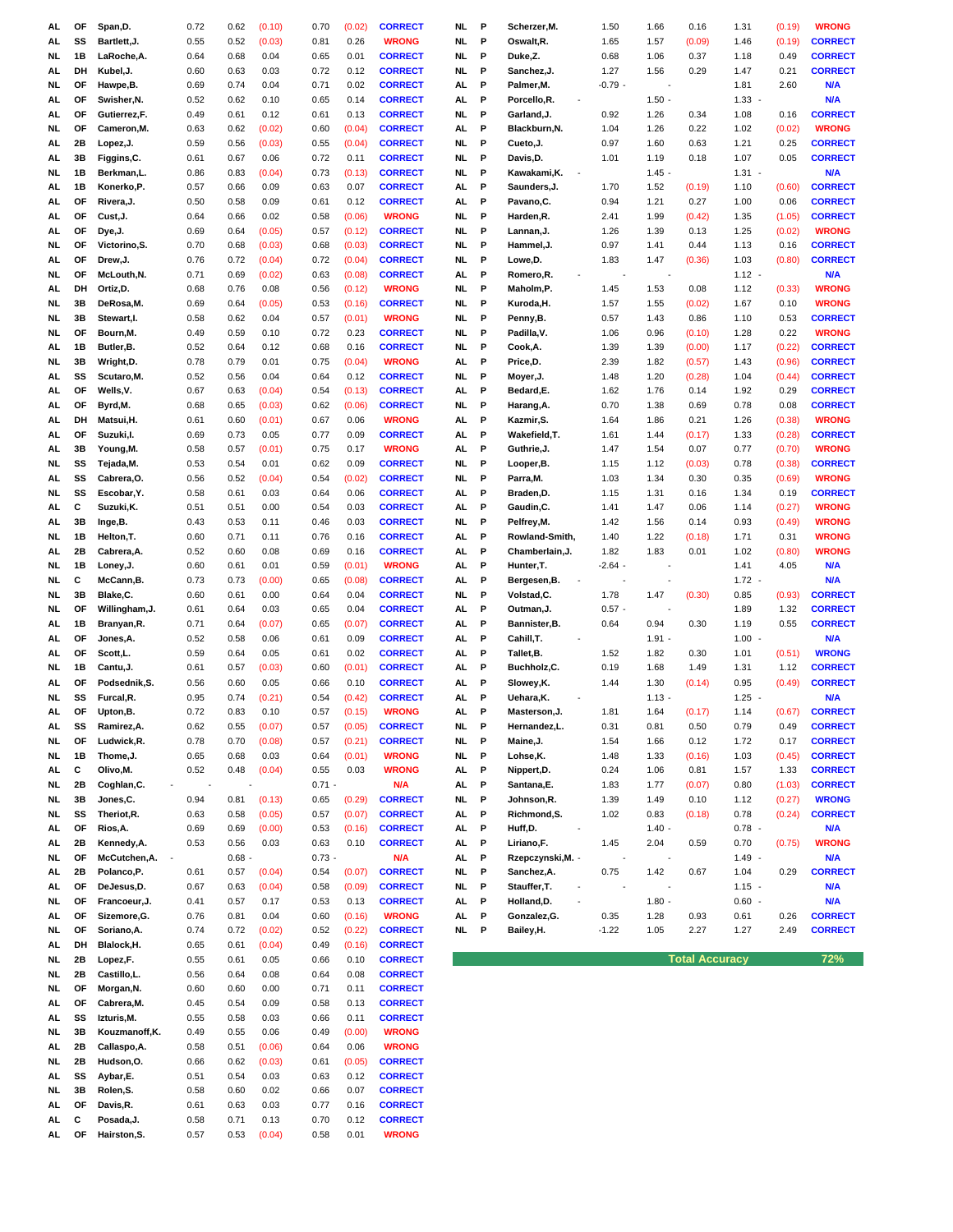| AL        | ОF | Span,D.        | 0.72 | 0.62     | (0.10) | 0.70     | (0.02) | <b>CORRECT</b> | NL        | P | Scherzer,M.                              | 1.50      | 1.66     | 0.16                  | 1.31     | (0.19) | <b>WRONG</b>   |
|-----------|----|----------------|------|----------|--------|----------|--------|----------------|-----------|---|------------------------------------------|-----------|----------|-----------------------|----------|--------|----------------|
| AL.       | SS | Bartlett, J.   | 0.55 | 0.52     | (0.03) | 0.81     | 0.26   | <b>WRONG</b>   | NL.       | P | Oswalt, R.                               | 1.65      | 1.57     | (0.09)                | 1.46     | (0.19) | <b>CORRECT</b> |
| NL.       | 1В | LaRoche, A.    | 0.64 | 0.68     | 0.04   | 0.65     | 0.01   | <b>CORRECT</b> | NL        | P | Duke,Z.                                  | 0.68      | 1.06     | 0.37                  | 1.18     | 0.49   | <b>CORRECT</b> |
|           |    |                |      |          |        |          |        |                |           |   |                                          |           |          |                       |          |        |                |
| AL        | DH | Kubel, J.      | 0.60 | 0.63     | 0.03   | 0.72     | 0.12   | <b>CORRECT</b> | NL.       | P | Sanchez, J.                              | 1.27      | 1.56     | 0.29                  | 1.47     | 0.21   | <b>CORRECT</b> |
| <b>NL</b> | ОF | Hawpe, B.      | 0.69 | 0.74     | 0.04   | 0.71     | 0.02   | <b>CORRECT</b> | AL        | P | Palmer,M.                                | $-0.79$ . | ÷.       |                       | 1.81     | 2.60   | N/A            |
| AL.       | ОF | Swisher, N.    | 0.52 | 0.62     | 0.10   | 0.65     | 0.14   | <b>CORRECT</b> | AL        | P | Porcello,R.<br>$\blacksquare$            |           | $1.50 -$ |                       | 1.33     |        | N/A            |
| AL.       | OF | Gutierrez,F.   | 0.49 | 0.61     | 0.12   | 0.61     | 0.13   | <b>CORRECT</b> | NL.       | P | Garland,J.                               | 0.92      | 1.26     | 0.34                  | 1.08     | 0.16   | <b>CORRECT</b> |
| NL.       | ΟF | Cameron, M.    | 0.63 | 0.62     | (0.02) | 0.60     | (0.04) | <b>CORRECT</b> | AL        | P | Blackburn, N.                            | 1.04      | 1.26     | 0.22                  | 1.02     | (0.02) | <b>WRONG</b>   |
| AL        | 2В | Lopez, J.      | 0.59 | 0.56     | (0.03) | 0.55     | (0.04) | <b>CORRECT</b> | NL        | P | Cueto, J.                                | 0.97      | 1.60     | 0.63                  | 1.21     | 0.25   | <b>CORRECT</b> |
|           | 3B |                | 0.61 | 0.67     |        |          |        | <b>CORRECT</b> |           | P |                                          |           | 1.19     | 0.18                  | 1.07     | 0.05   | <b>CORRECT</b> |
| AL        |    | Figgins, C.    |      |          | 0.06   | 0.72     | 0.11   |                | NL        |   | Davis,D.                                 | 1.01      |          |                       |          |        |                |
| NL.       | 1В | Berkman,L.     | 0.86 | 0.83     | (0.04) | 0.73     | (0.13) | <b>CORRECT</b> | NL.       | P | Kawakami, K.                             |           | 1.45     |                       | $1.31 -$ |        | N/A            |
| AL.       | 1B | Konerko, P.    | 0.57 | 0.66     | 0.09   | 0.63     | 0.07   | <b>CORRECT</b> | AL        | P | Saunders,J.                              | 1.70      | 1.52     | (0.19)                | 1.10     | (0.60) | <b>CORRECT</b> |
| AL        | ΟF | Rivera, J.     | 0.50 | 0.58     | 0.09   | 0.61     | 0.12   | <b>CORRECT</b> | AL        | P | Pavano, C.                               | 0.94      | 1.21     | 0.27                  | 1.00     | 0.06   | <b>CORRECT</b> |
| AL        | ОF | Cust, J.       | 0.64 | 0.66     | 0.02   | 0.58     | (0.06) | <b>WRONG</b>   | <b>NL</b> | P | Harden,R.                                | 2.41      | 1.99     | (0.42)                | 1.35     | (1.05) | <b>CORRECT</b> |
| AL        | OF | Dye, J.        | 0.69 | 0.64     | (0.05) | 0.57     | (0.12) | <b>CORRECT</b> | NL.       | P | Lannan, J.                               | 1.26      | 1.39     | 0.13                  | 1.25     | (0.02) | <b>WRONG</b>   |
|           |    |                |      |          |        |          |        |                |           |   |                                          |           |          |                       |          |        |                |
| NL        | ΟF | Victorino, S.  | 0.70 | 0.68     | (0.03) | 0.68     | (0.03) | <b>CORRECT</b> | NL.       | P | Hammel,J.                                | 0.97      | 1.41     | 0.44                  | 1.13     | 0.16   | <b>CORRECT</b> |
| AL.       | ΟF | Drew, J.       | 0.76 | 0.72     | (0.04) | 0.72     | (0.04) | <b>CORRECT</b> | NL.       | P | Lowe,D.                                  | 1.83      | 1.47     | (0.36)                | 1.03     | (0.80) | <b>CORRECT</b> |
| NL.       | ΟF | McLouth, N.    | 0.71 | 0.69     | (0.02) | 0.63     | (0.08) | <b>CORRECT</b> | AL        | P | Romero,R.                                |           |          |                       | 1.12     |        | N/A            |
| AL        | DH | Ortiz,D.       | 0.68 | 0.76     | 0.08   | 0.56     | (0.12) | <b>WRONG</b>   | NL.       | P | Maholm,P.                                | 1.45      | 1.53     | 0.08                  | 1.12     | (0.33) | <b>WRONG</b>   |
| NL.       | 3B | DeRosa, M.     | 0.69 | 0.64     | (0.05) | 0.53     | (0.16) | <b>CORRECT</b> | NL        | P | Kuroda,H.                                | 1.57      | 1.55     | (0.02)                | 1.67     | 0.10   | <b>WRONG</b>   |
| NL.       | 3В | Stewart, I.    | 0.58 | 0.62     | 0.04   | 0.57     | (0.01) | <b>WRONG</b>   | NL.       | P | Penny,B.                                 | 0.57      | 1.43     | 0.86                  | 1.10     | 0.53   | <b>CORRECT</b> |
|           |    |                |      |          |        |          |        |                |           |   |                                          |           |          |                       |          |        |                |
| <b>NL</b> | ОF | Bourn, M.      | 0.49 | 0.59     | 0.10   | 0.72     | 0.23   | <b>CORRECT</b> | <b>NL</b> | P | Padilla, V.                              | 1.06      | 0.96     | (0.10)                | 1.28     | 0.22   | <b>WRONG</b>   |
| AL        | 1В | Butler, B.     | 0.52 | 0.64     | 0.12   | 0.68     | 0.16   | <b>CORRECT</b> | NL.       | P | Cook, A.                                 | 1.39      | 1.39     | (0.00)                | 1.17     | (0.22) | <b>CORRECT</b> |
| NL        | 3В | Wright, D.     | 0.78 | 0.79     | 0.01   | 0.75     | (0.04) | <b>WRONG</b>   | AL.       | P | Price, D.                                | 2.39      | 1.82     | (0.57)                | 1.43     | (0.96) | <b>CORRECT</b> |
| AL        | SS | Scutaro, M.    | 0.52 | 0.56     | 0.04   | 0.64     | 0.12   | <b>CORRECT</b> | NL.       | P | Moyer, J.                                | 1.48      | 1.20     | (0.28)                | 1.04     | (0.44) | <b>CORRECT</b> |
| AL        | ΟF | Wells, V.      | 0.67 | 0.63     | (0.04) | 0.54     | (0.13) | <b>CORRECT</b> | AL        | P | Bedard,E.                                | 1.62      | 1.76     | 0.14                  | 1.92     | 0.29   | <b>CORRECT</b> |
| AL        | ОF | Byrd,M.        | 0.68 | 0.65     | (0.03) | 0.62     | (0.06) | <b>CORRECT</b> | NL.       | P | Harang, A.                               | 0.70      | 1.38     | 0.69                  | 0.78     | 0.08   | <b>CORRECT</b> |
|           |    |                |      |          |        |          |        |                |           |   |                                          |           |          |                       |          |        |                |
| AL.       | DH | Matsui, H.     | 0.61 | 0.60     | (0.01) | 0.67     | 0.06   | <b>WRONG</b>   | AL        | P | Kazmir,S.                                | 1.64      | 1.86     | 0.21                  | 1.26     | (0.38) | <b>WRONG</b>   |
| AL        | ΟF | Suzuki, I.     | 0.69 | 0.73     | 0.05   | 0.77     | 0.09   | <b>CORRECT</b> | AL        | P | Wakefield,T.                             | 1.61      | 1.44     | (0.17)                | 1.33     | (0.28) | <b>CORRECT</b> |
| AL        | 3В | Young, M.      | 0.58 | 0.57     | (0.01) | 0.75     | 0.17   | <b>WRONG</b>   | AL        | P | Guthrie, J.                              | 1.47      | 1.54     | 0.07                  | 0.77     | (0.70) | <b>WRONG</b>   |
| NL.       | SS | Tejada, M.     | 0.53 | 0.54     | 0.01   | 0.62     | 0.09   | <b>CORRECT</b> | NL.       | P | Looper, B.                               | 1.15      | 1.12     | (0.03)                | 0.78     | (0.38) | <b>CORRECT</b> |
| AL.       | SS | Cabrera, O.    | 0.56 | 0.52     | (0.04) | 0.54     | (0.02) | <b>CORRECT</b> | NL.       | P | Parra,M.                                 | 1.03      | 1.34     | 0.30                  | 0.35     | (0.69) | <b>WRONG</b>   |
| NL.       | SS | Escobar, Y.    | 0.58 | 0.61     | 0.03   | 0.64     | 0.06   | <b>CORRECT</b> | AL        | P | Braden, D.                               | 1.15      | 1.31     | 0.16                  | 1.34     | 0.19   | <b>CORRECT</b> |
|           | C  |                |      |          |        |          |        |                |           | P |                                          |           |          |                       |          |        |                |
| AL        |    | Suzuki, K.     | 0.51 | 0.51     | 0.00   | 0.54     | 0.03   | <b>CORRECT</b> | AL        |   | Gaudin, C.                               | 1.41      | 1.47     | 0.06                  | 1.14     | (0.27) | <b>WRONG</b>   |
| AL        | 3B | Inge,B.        | 0.43 | 0.53     | 0.11   | 0.46     | 0.03   | <b>CORRECT</b> | NL        | P | Pelfrey, M.                              | 1.42      | 1.56     | 0.14                  | 0.93     | (0.49) | <b>WRONG</b>   |
| NL.       | 1B | Helton, T.     | 0.60 | 0.71     | 0.11   | 0.76     | 0.16   | <b>CORRECT</b> | AL        | P | Rowland-Smith,                           | 1.40      | 1.22     | (0.18)                | 1.71     | 0.31   | <b>WRONG</b>   |
| AL.       | 2Β | Cabrera, A.    | 0.52 | 0.60     | 0.08   | 0.69     | 0.16   | <b>CORRECT</b> | AL        | P | Chamberlain, J.                          | 1.82      | 1.83     | 0.01                  | 1.02     | (0.80) | <b>WRONG</b>   |
| NL        | 1В | Loney, J.      | 0.60 | 0.61     | 0.01   | 0.59     | (0.01) | <b>WRONG</b>   | AL        | P | Hunter, T.                               | $-2.64 -$ |          |                       | 1.41     | 4.05   | N/A            |
|           | c  | McCann, B.     |      |          |        |          |        |                |           | P |                                          |           |          |                       |          |        | N/A            |
|           |    |                |      |          |        |          |        |                |           |   |                                          |           |          |                       |          |        |                |
| <b>NL</b> |    |                | 0.73 | 0.73     | (0.00) | 0.65     | (0.08) | <b>CORRECT</b> | AL        |   | Bergesen, B.                             |           |          |                       | 1.72     |        |                |
| NL        | 3B | Blake,C.       | 0.60 | 0.61     | 0.00   | 0.64     | 0.04   | <b>CORRECT</b> | NL.       | P | Volstad,C.                               | 1.78      | 1.47     | (0.30)                | 0.85     | (0.93) | <b>CORRECT</b> |
| NL        | OF | Willingham, J. | 0.61 | 0.64     | 0.03   | 0.65     | 0.04   | <b>CORRECT</b> | AL        | P | Outman,J.                                | $0.57 -$  |          |                       | 1.89     | 1.32   | <b>CORRECT</b> |
| AL.       | 1В | Branyan, R.    | 0.71 | 0.64     | (0.07) | 0.65     | (0.07) | <b>CORRECT</b> | AL        | P | Bannister, B.                            | 0.64      | 0.94     | 0.30                  | 1.19     | 0.55   | <b>CORRECT</b> |
| AL        | ΟF | Jones, A.      | 0.52 | 0.58     | 0.06   | 0.61     | 0.09   | <b>CORRECT</b> | AL        | P | Cahill,T.                                |           | $1.91 -$ |                       | 1.00     |        | N/A            |
| AL        | OF | Scott,L.       | 0.59 | 0.64     | 0.05   | 0.61     | 0.02   | <b>CORRECT</b> | AL        | P | Tallet, B.                               | 1.52      | 1.82     | 0.30                  | 1.01     | (0.51) | <b>WRONG</b>   |
|           |    |                |      |          |        |          |        |                |           |   |                                          |           |          |                       |          |        |                |
| NL.       | 1В | Cantu, J.      | 0.61 | 0.57     | (0.03) | 0.60     | (0.01) | <b>CORRECT</b> | AL        | P | Buchholz,C.                              | 0.19      | 1.68     | 1.49                  | 1.31     | 1.12   | <b>CORRECT</b> |
| AL        | ΟF | Podsednik, S.  | 0.56 | 0.60     | 0.05   | 0.66     | 0.10   | <b>CORRECT</b> | AL        | P | Slowey, K.                               | 1.44      | 1.30     | (0.14)                | 0.95     | (0.49) | <b>CORRECT</b> |
| NL.       | SS | Furcal, R.     | 0.95 | 0.74     | (0.21) | 0.54     | (0.42) | <b>CORRECT</b> | AL.       | P | Uehara,K.                                |           | $1.13 -$ |                       | 1.25     |        | N/A            |
| AL.       | ΟF | Upton,B.       | 0.72 | 0.83     | 0.10   | 0.57     | (0.15) | <b>WRONG</b>   | AL        | P | Masterson, J.                            | 1.81      | 1.64     | (0.17)                | 1.14     | (0.67) | <b>CORRECT</b> |
| AL        | SS | Ramirez, A.    | 0.62 | 0.55     | (0.07) | 0.57     | (0.05) | <b>CORRECT</b> | NL.       | P | Hernandez,L.                             | 0.31      | 0.81     | 0.50                  | 0.79     | 0.49   | <b>CORRECT</b> |
| NL        | OF | Ludwick, R.    | 0.78 | 0.70     | (0.08) | 0.57     | (0.21) | <b>CORRECT</b> | NL.       | P | Maine, J.                                | 1.54      | 1.66     | 0.12                  | 1.72     | 0.17   | <b>CORRECT</b> |
|           | 1В |                |      |          |        |          |        |                |           | P |                                          |           |          |                       |          |        |                |
| NL        |    | Thome, J.      | 0.65 | 0.68     | 0.03   | 0.64     | (0.01) | <b>WRONG</b>   | NL        |   | Lohse,K.                                 | 1.48      | 1.33     | (0.16)                | 1.03     | (0.45) | <b>CORRECT</b> |
| AL        | С  | Olivo, M.      | 0.52 | 0.48     | (0.04) | 0.55     | 0.03   | <b>WRONG</b>   | AL        | P | Nippert, D.                              | 0.24      | 1.06     | 0.81                  | 1.57     | 1.33   | <b>CORRECT</b> |
| NL        | 2Β | Coghlan, C.    |      |          |        | $0.71 -$ |        | N/A            | AL        | P | Santana, E.                              | 1.83      | 1.77     | (0.07)                | 0.80     | (1.03) | <b>CORRECT</b> |
| NL        | 3В | Jones, C.      | 0.94 | 0.81     | (0.13) | 0.65     | (0.29) | <b>CORRECT</b> | NL        | P | Johnson,R.                               | 1.39      | 1.49     | 0.10                  | 1.12     | (0.27) | <b>WRONG</b>   |
| NL        | SS | Theriot, R.    | 0.63 | 0.58     | (0.05) | 0.57     | (0.07) | <b>CORRECT</b> | AL        | P | Richmond, S.                             | 1.02      | 0.83     | (0.18)                | 0.78     | (0.24) | <b>CORRECT</b> |
| AL        | ОF | Rios, A.       | 0.69 | 0.69     | (0.00) | 0.53     | (0.16) | <b>CORRECT</b> | AL        | P | Huff,D.<br>$\overline{\phantom{a}}$      |           | $1.40 -$ |                       | $0.78 -$ |        | <b>N/A</b>     |
| AL        | 2В | Kennedy, A.    | 0.53 | 0.56     | 0.03   | 0.63     | 0.10   | <b>CORRECT</b> | AL        | P | Liriano, F.                              | 1.45      | 2.04     | 0.59                  | 0.70     | (0.75) | <b>WRONG</b>   |
|           |    |                |      |          |        |          |        |                |           |   |                                          |           |          |                       |          |        |                |
| NL        | ОF | McCutchen, A.  |      | $0.68 -$ |        | $0.73 -$ |        | N/A            | AL        | P | Rzepczynski, M. -                        |           |          |                       | $1.49 -$ |        | N/A            |
| AL        | 2В | Polanco, P.    | 0.61 | 0.57     | (0.04) | 0.54     | (0.07) | <b>CORRECT</b> | NL        | P | Sanchez, A.                              | 0.75      | 1.42     | 0.67                  | 1.04     | 0.29   | <b>CORRECT</b> |
| AL        | ΟF | DeJesus, D.    | 0.67 | 0.63     | (0.04) | 0.58     | (0.09) | <b>CORRECT</b> | NL.       | P | Stauffer, T.<br>$\overline{\phantom{a}}$ |           |          |                       | $1.15 -$ |        | N/A            |
| NL        | ΟF | Francoeur, J.  | 0.41 | 0.57     | 0.17   | 0.53     | 0.13   | <b>CORRECT</b> | AL        | P | Holland, D.<br>÷,                        |           | $1.80 -$ |                       | $0.60 -$ |        | <b>N/A</b>     |
| AL        | OF | Sizemore, G.   | 0.76 | 0.81     | 0.04   | 0.60     | (0.16) | <b>WRONG</b>   | AL        | P | Gonzalez, G.                             | 0.35      | 1.28     | 0.93                  | 0.61     | 0.26   | <b>CORRECT</b> |
| NL        | ОF | Soriano, A.    | 0.74 | 0.72     | (0.02) | 0.52     | (0.22) | <b>CORRECT</b> | <b>NL</b> | P | Bailey, H.                               | $-1.22$   | 1.05     | 2.27                  | 1.27     | 2.49   | <b>CORRECT</b> |
| AL        | DH | Blalock, H.    | 0.65 | 0.61     | (0.04) | 0.49     | (0.16) | <b>CORRECT</b> |           |   |                                          |           |          |                       |          |        |                |
|           | 2В |                |      |          |        |          |        |                |           |   |                                          |           |          |                       |          |        |                |
| NL        |    | Lopez,F.       | 0.55 | 0.61     | 0.05   | 0.66     | 0.10   | <b>CORRECT</b> |           |   |                                          |           |          | <b>Total Accuracy</b> |          |        | 72%            |
| NL        | 2В | Castillo,L.    | 0.56 | 0.64     | 0.08   | 0.64     | 0.08   | <b>CORRECT</b> |           |   |                                          |           |          |                       |          |        |                |
| NL        | ОF | Morgan, N.     | 0.60 | 0.60     | 0.00   | 0.71     | 0.11   | <b>CORRECT</b> |           |   |                                          |           |          |                       |          |        |                |
| AL        | ОF | Cabrera, M.    | 0.45 | 0.54     | 0.09   | 0.58     | 0.13   | <b>CORRECT</b> |           |   |                                          |           |          |                       |          |        |                |
| AL        | SS | Izturis, M.    | 0.55 | 0.58     | 0.03   | 0.66     | 0.11   | <b>CORRECT</b> |           |   |                                          |           |          |                       |          |        |                |
| NL        | 3B | Kouzmanoff, K. | 0.49 | 0.55     | 0.06   | 0.49     | (0.00) | <b>WRONG</b>   |           |   |                                          |           |          |                       |          |        |                |
| AL        | 2В | Callaspo, A.   | 0.58 | 0.51     | (0.06) | 0.64     | 0.06   | <b>WRONG</b>   |           |   |                                          |           |          |                       |          |        |                |
|           |    |                |      |          |        |          |        |                |           |   |                                          |           |          |                       |          |        |                |
| NL        | 2В | Hudson, O.     | 0.66 | 0.62     | (0.03) | 0.61     | (0.05) | <b>CORRECT</b> |           |   |                                          |           |          |                       |          |        |                |
| AL        | SS | Aybar,E.       | 0.51 | 0.54     | 0.03   | 0.63     | 0.12   | <b>CORRECT</b> |           |   |                                          |           |          |                       |          |        |                |
| NL        | 3В | Rolen, S.      | 0.58 | 0.60     | 0.02   | 0.66     | 0.07   | <b>CORRECT</b> |           |   |                                          |           |          |                       |          |        |                |
| AL        | OF | Davis,R.       | 0.61 | 0.63     | 0.03   | 0.77     | 0.16   | <b>CORRECT</b> |           |   |                                          |           |          |                       |          |        |                |
| AL        | c  | Posada, J.     | 0.58 | 0.71     | 0.13   | 0.70     | 0.12   | <b>CORRECT</b> |           |   |                                          |           |          |                       |          |        |                |